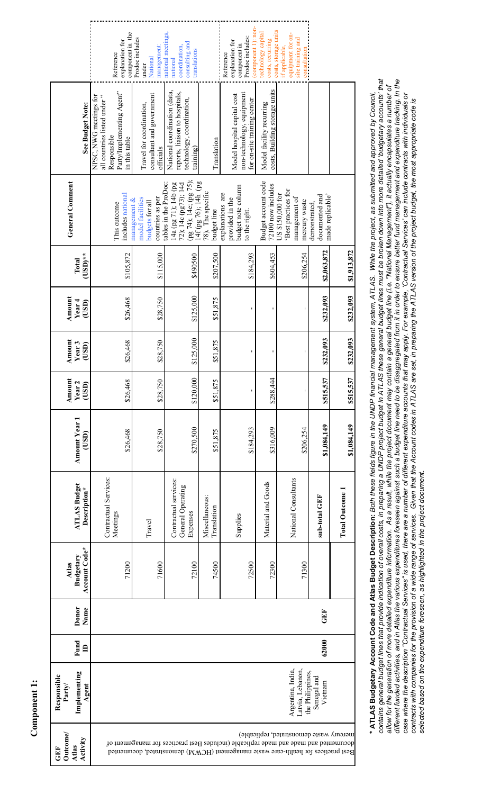|                                               | component in the<br>explanation for<br>Reference                                                                    | Prodoc includes<br>management:<br>National<br>under                        | national meetings,<br>consulting and<br>coordination,<br>translations<br>national                                       |                                  | component 1): non-<br>Prodoc includes:<br>explanation for<br>component in<br>Reference                                                                                | costs, storage units<br>technology capital<br>costs, recurring | equipment for on-<br>site training and<br>if applicable,<br>consultation |                                                     |                        |
|-----------------------------------------------|---------------------------------------------------------------------------------------------------------------------|----------------------------------------------------------------------------|-------------------------------------------------------------------------------------------------------------------------|----------------------------------|-----------------------------------------------------------------------------------------------------------------------------------------------------------------------|----------------------------------------------------------------|--------------------------------------------------------------------------|-----------------------------------------------------|------------------------|
| See Budget Note:                              | Party/Implementing Agent"<br>NPSC, NWG meetings for<br>all countries listed under "<br>Responsible<br>in this table | consultant and government<br>Travel for coordination,<br>officials         | National coordination (data,<br>reports, liaison to hospitals,<br>technology, coordination,<br>training)                | Translation                      | non-technology, equipment<br>Model hospital capital cost<br>for on-site training center                                                                               | costs, Building storage units<br>Model facility recurring      |                                                                          |                                                     |                        |
| <b>General Comment</b>                        | includes national<br>This outcome                                                                                   | countries as per<br>model facilities<br>management $\&$<br>budgets for all | (pg 74); 14e; (pg 75);<br>tables in the ProDoc:<br>14f (pg 76); 14h (pg<br>14a (pg 71); 14b (pg<br>72); 14c (pg73); 14d | 78). The specific<br>budget line | budget note column<br>explanations are<br>provided in the<br>to the right.                                                                                            | Budget account code<br>72100 now includes                      | Best practices for<br>US \$150,000 for<br>management of<br>mercury waste | made replicable'<br>documented and<br>demonstrated, |                        |
| $(USD)$ **<br>Total                           | \$105.872                                                                                                           | \$115.000                                                                  | \$490500                                                                                                                | \$207,500                        | \$184.293                                                                                                                                                             | \$604,453                                                      | \$206,254                                                                | \$2,063,872                                         | \$1,913,872            |
| Amount<br>Year <sub>4</sub><br>(USD)          | \$26,468                                                                                                            | \$28,750                                                                   | \$125,000                                                                                                               | \$51,875                         |                                                                                                                                                                       |                                                                |                                                                          | \$232,093                                           | \$232,093              |
| Amount<br>Year <sub>3</sub><br>(USD)          | \$26,468                                                                                                            | \$28,750                                                                   | \$125,000                                                                                                               | \$51,875                         |                                                                                                                                                                       |                                                                |                                                                          | \$232,093                                           | \$232,093              |
| Amount<br>Year <sub>2</sub><br>(USD)          | \$26,468                                                                                                            | \$28.750                                                                   | \$120,000                                                                                                               | \$51,875                         | $\blacksquare$                                                                                                                                                        | \$288,444                                                      |                                                                          | \$515,537                                           | \$515,537              |
| Amount Year 1<br>(USD)                        | \$26,468                                                                                                            | \$28.750                                                                   | \$270,500                                                                                                               | \$51,875                         | \$184,293                                                                                                                                                             | \$316,009                                                      | \$206,254                                                                | \$1,084,149                                         | \$1,084,149            |
| <b>ATLAS Budget</b><br>Description*           | Contractual Services:<br>Meetings                                                                                   | Travel                                                                     | Contractual services:<br>General Operating<br>Expenses                                                                  | Miscellaneous:<br>Translation    | Supplies                                                                                                                                                              | Material and Goods                                             | National Consultants                                                     | sub-total GEF                                       | <b>Total Outcome 1</b> |
| Account Code*<br>Budgetary<br>Atlas           | 71200                                                                                                               | 71600                                                                      | 72100                                                                                                                   | 74500                            | 72500                                                                                                                                                                 | 72300                                                          | 71300                                                                    |                                                     |                        |
| Donor<br>Name                                 |                                                                                                                     |                                                                            |                                                                                                                         |                                  |                                                                                                                                                                       |                                                                |                                                                          | GEF                                                 |                        |
| Fund<br>$\triangleq$                          |                                                                                                                     |                                                                            |                                                                                                                         |                                  |                                                                                                                                                                       |                                                                |                                                                          | 62000                                               |                        |
| Implementing<br>Responsible<br>Party<br>Agent |                                                                                                                     |                                                                            |                                                                                                                         |                                  |                                                                                                                                                                       |                                                                | Argentina, India,<br>Latvia, Lebanon,<br>the Philippines,                | Senegal and<br>Vietnam                              |                        |
| Outcome/<br>Atlas<br>Activity<br>GEF          |                                                                                                                     |                                                                            |                                                                                                                         |                                  | docunented and have and hade replicable (includes Best practices for management of<br>Best practices for health-care waste management (HCWM) demonstrated, documented |                                                                | mercury waste demonstrated, replicable)                                  |                                                     |                        |

*contains general budget lines that provide indication of overall costs, in preparing a UNDP project budget in ATLAS these general budget lines must be broken down into more detailed 'budgetary accounts' that*  different funded activities, and in Atlas the various expenditures foreseen agaainst such a budget line need to be disaggregated from it in order to ensure better fund management and expenditure tracking. In the contains general budget lines that provide indication of overall costs, in preparing a UNDP project b ATLAS these general budget lines must be broken down into more detailed 'budgetary accounts' that<br>allow for the generati different funded activities, and in Atlas the various expenditures foreseen against such a budget in eas to be disaggregated from it in order to ensure better fund management and expenditure tracking. In the *allow for the generation of more detailed expenditure information. As a result, while the project document may contain a general budget line (i.e. "National Management"), it actually encapsulates a number of*  case where the description "Contractual Services" is used, there are a number of different expenditure accounts that may apply. For example, 'Contractual Services' can include contracts with individuals or<br>contracts with c **\* ATLAS Budgetary Account Code and Atlas Budget Description:** *Both these fields figure in the UNDP financial management system, ATLAS. While the project, as submitted and approved by Council,*  \* ATLAS Budgetary Account Code and Atlas Budget Description: Both these fields figure in the UNDP financial management system, ATLAS. While the project, as submitted and approved by Council, case where the description "Contractual Services" is used, there are are are and provider of different expenditure accounts that may apply. For example, 'Contractual Services' can include contracts with individuals or contracts with companies for the provision of a wide range of services. Given that the Account codes in ATLAS are set, in preparing the ATLAS version of the project the most appropriate code is selected based on the expenditure foreseen, as highlighted in the project document. *selected based on the expenditure foreseen, as highlighted in the project document.*

Component 1: **Component 1:**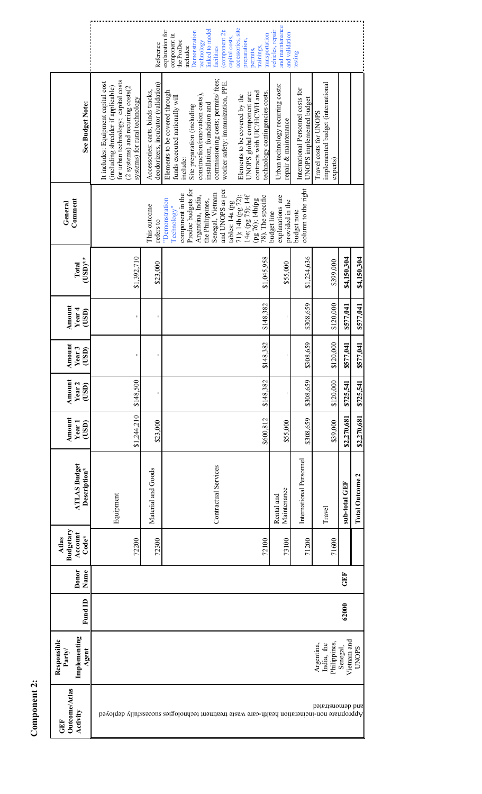|                                                |                                                                                                                                                                                        | Reference                                                                | accessories, site<br>linked to model<br>explanation for<br>(component 2):<br>Demonstration<br>component in<br>capital costs,<br>preparation,<br>technology<br>the ProDoc<br>includes:<br>facilities<br>permits,                                                                                                            | transportation<br>trainings,                                   | and maintenance<br>vehicles, repair<br>and validation     | testing                                                       |                                                                         |                         |                        |
|------------------------------------------------|----------------------------------------------------------------------------------------------------------------------------------------------------------------------------------------|--------------------------------------------------------------------------|----------------------------------------------------------------------------------------------------------------------------------------------------------------------------------------------------------------------------------------------------------------------------------------------------------------------------|----------------------------------------------------------------|-----------------------------------------------------------|---------------------------------------------------------------|-------------------------------------------------------------------------|-------------------------|------------------------|
| See Budget Note:                               | for urban technology; capital costs<br>It includes: Equipment capital cost<br>(including shredder if applicable)<br>(2 systems) and recurring costs(2<br>systems) for rural technology | deodorizers, incubator (validation)<br>Accessories: carts, binds tracks, | commissioning costs; permits/ fees;<br>worker safety: immunization, PPE.<br>Elements to be covered through<br>UNOPS global component are:<br>construction/renovation costs),<br>Elements to be covered by the<br>funds executed nationally will<br>installation, foundation and<br>Site preparation (including<br>include: | contracts with UIC/HCWH and<br>technology contingencies costs. | Urban technology recurring costs:<br>repair & maintenance | International Personnel costs for<br>UNOPS implemented budget | implemented budget (international<br>Travel costs for UNOPS<br>experts) |                         |                        |
| Comment<br>General                             |                                                                                                                                                                                        | This outcome<br>refers to                                                | Prodoc budgets for<br>and UNOPS as per<br>Senegal, Vietnam<br>component in the<br>Argentina, India,<br>14e; (pg 75); 14f<br>71); 14b (pg 72);<br>(pg 76); 14h(pg<br>"Demonstration<br>the Philippines,<br>tables: 14a (pg<br>Technology"                                                                                   | 78). The specific                                              | explanations are<br>provided in the<br>budget line        | column to the right<br>budget note                            |                                                                         |                         |                        |
| $\mathrm{(USD)^{**}}$<br>Total                 | \$1,392,710                                                                                                                                                                            | \$23,000                                                                 |                                                                                                                                                                                                                                                                                                                            | \$1.045.958                                                    | \$55,000                                                  | \$1,234,636                                                   | \$399,000                                                               | \$4,150,304             | \$4,150,304            |
| Amount<br>Year <sub>4</sub><br>(USD)           |                                                                                                                                                                                        |                                                                          |                                                                                                                                                                                                                                                                                                                            | \$148.382                                                      |                                                           | \$308,659                                                     | \$120,000                                                               | \$577,041               | \$577,041              |
| Amount<br>Year <sub>3</sub><br>(USD)           |                                                                                                                                                                                        |                                                                          |                                                                                                                                                                                                                                                                                                                            | \$148.382                                                      | ı                                                         | \$308,659                                                     | \$120,000                                                               | \$577,041               | \$577,041              |
| Amount<br>Year <sub>2</sub><br>(USD)           | \$148,500                                                                                                                                                                              | ı                                                                        |                                                                                                                                                                                                                                                                                                                            | \$148.382                                                      | ı                                                         | \$308,659                                                     | \$120,000                                                               | \$725,541               | \$725,541              |
| Amount<br>Year <sub>1</sub><br>(USD)           | \$1,244,210                                                                                                                                                                            | \$23,000                                                                 |                                                                                                                                                                                                                                                                                                                            | \$600,812                                                      | \$55,000                                                  | \$308,659                                                     | \$39.000                                                                | \$2,270,681             | \$2,270,681            |
| <b>ATLAS Budget</b><br>Description*            | Equipment                                                                                                                                                                              | Material and Goods                                                       | Contractual Services                                                                                                                                                                                                                                                                                                       |                                                                | Maintenance<br>Rental and                                 | International Personnel                                       | Travel                                                                  | sub-total GEF           | <b>Total Outcome 2</b> |
| Budgetary<br>Account<br>$Code*$<br>Atlas       | 72200                                                                                                                                                                                  | 72300                                                                    |                                                                                                                                                                                                                                                                                                                            | 72100                                                          | 73100                                                     | 71200                                                         | 71600                                                                   |                         |                        |
| Donor<br>Name                                  |                                                                                                                                                                                        |                                                                          |                                                                                                                                                                                                                                                                                                                            |                                                                |                                                           |                                                               |                                                                         | GEF                     |                        |
| <b>Fund ID</b>                                 |                                                                                                                                                                                        |                                                                          |                                                                                                                                                                                                                                                                                                                            |                                                                |                                                           |                                                               |                                                                         | 62000                   |                        |
| Implementing<br>Responsible<br>Party/<br>Agent |                                                                                                                                                                                        |                                                                          |                                                                                                                                                                                                                                                                                                                            |                                                                |                                                           |                                                               | Philippines,<br>Argentina,<br>India, the                                | Vietnam and<br>Senegal, | <b>UNOPS</b>           |
| <b>Jutcome/Atlas</b><br>vetivity<br>田          |                                                                                                                                                                                        |                                                                          | Appropriate non-incinsion health-care waste treatment technologies successfully deployed                                                                                                                                                                                                                                   |                                                                |                                                           |                                                               | and demonstrated                                                        |                         |                        |

Component 2: **Component 2:**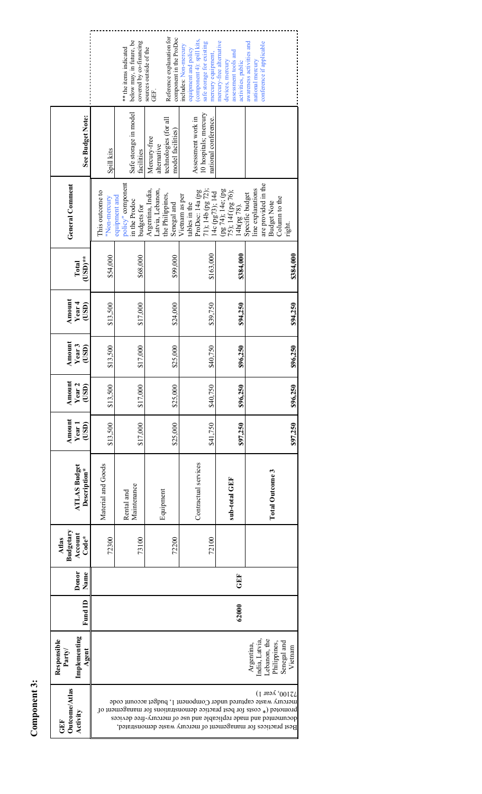| See Budget Note:                               | Spill kits                      | below may, in future, be<br>covered by co-financing<br>** the items indicated<br>Safe storage in model<br>facilities | Reference explanation for<br>component in the ProDoc<br>sources outside of the<br>GEF.<br>technologies (for all<br>model facilities)<br>Mercury-free<br>alternative | (component 4): spill kits,<br>safe storage for existing<br>includes: Non-mercury<br>equipment and policy<br>nercury equipment,<br>10 hospitals; mercury<br>Assessment work in<br>national conference. | mercury-free alternative<br>assessment tools and<br>activities, public<br>devices, mercury | conference if applicable<br>awareness activities and<br>national mercury                                                                                                                                                                                                                 |
|------------------------------------------------|---------------------------------|----------------------------------------------------------------------------------------------------------------------|---------------------------------------------------------------------------------------------------------------------------------------------------------------------|-------------------------------------------------------------------------------------------------------------------------------------------------------------------------------------------------------|--------------------------------------------------------------------------------------------|------------------------------------------------------------------------------------------------------------------------------------------------------------------------------------------------------------------------------------------------------------------------------------------|
| <b>General Comment</b>                         | This outcome to<br>'Non-mercury | policy" component<br>equipment and<br>in the Prodoc<br>budgets for                                                   | Argentina, India,<br>Latvia, Lebanon,<br>the Philippines,<br>Senegal and                                                                                            | 71); 14b (pg 72);<br>ProDoc: 14a (pg<br>14c (pg73); 14d<br>Vietnam as per<br>tables in the                                                                                                            | (pg 74); 14e; (pg<br>75); 14f (pg 76);<br>14h(pg 78).                                      | are provided in the<br>line explanations<br>Specific budget<br>Column to the<br><b>Budget Note</b><br>right.                                                                                                                                                                             |
| USD)**<br>Total                                | \$54,000                        | \$68,000                                                                                                             | \$99,000                                                                                                                                                            | \$163.000                                                                                                                                                                                             | \$384,000                                                                                  |                                                                                                                                                                                                                                                                                          |
| Amount<br>Year 4<br>(USD)                      | \$13,500                        | \$17,000                                                                                                             | \$24,000                                                                                                                                                            | \$39,750                                                                                                                                                                                              | \$94,250                                                                                   |                                                                                                                                                                                                                                                                                          |
| Amount<br>Year <sub>3</sub><br>(USD)           | \$13,500                        | \$17,000                                                                                                             | \$25,000                                                                                                                                                            | \$40,750                                                                                                                                                                                              | \$96,250                                                                                   |                                                                                                                                                                                                                                                                                          |
| Amount<br>Year <sub>2</sub><br>(USD)           | \$13,500                        | \$17,000                                                                                                             | \$25,000                                                                                                                                                            | \$40,750                                                                                                                                                                                              | \$96,250                                                                                   |                                                                                                                                                                                                                                                                                          |
| Amount<br>(USD)<br>Year <sub>1</sub>           | \$13,500                        | \$17,000                                                                                                             | \$25,000                                                                                                                                                            | \$41,750                                                                                                                                                                                              | \$97,250                                                                                   |                                                                                                                                                                                                                                                                                          |
| <b>ATLAS Budget</b><br>Description*            | Material and Goods              | Maintenance<br>Rental and                                                                                            | Equipment                                                                                                                                                           | Contractual services                                                                                                                                                                                  | sub-total GEF                                                                              | <b>Total Outcome 3</b>                                                                                                                                                                                                                                                                   |
| Budgetary<br>Account<br>$Code*$<br>Atlas       | 72300                           | 73100                                                                                                                | 72200                                                                                                                                                               | 72100                                                                                                                                                                                                 |                                                                                            |                                                                                                                                                                                                                                                                                          |
| Donor<br>Name                                  |                                 |                                                                                                                      |                                                                                                                                                                     |                                                                                                                                                                                                       | GEF                                                                                        |                                                                                                                                                                                                                                                                                          |
| Fund ID                                        |                                 |                                                                                                                      |                                                                                                                                                                     |                                                                                                                                                                                                       | 62000                                                                                      |                                                                                                                                                                                                                                                                                          |
| Implementing<br>Responsible<br>Party/<br>Agent |                                 |                                                                                                                      |                                                                                                                                                                     |                                                                                                                                                                                                       |                                                                                            | Lebanon, the<br>India, Latvia<br>Senegal and<br>Vietnam<br>Philippines,<br>Argentina,                                                                                                                                                                                                    |
| Outcome/Atlas<br>Activity<br>GEF               |                                 |                                                                                                                      |                                                                                                                                                                     |                                                                                                                                                                                                       |                                                                                            | 72100, year 1)<br>mercury waste captured ther Component 1, budget account code<br>promoted (* costs for best practice demonstrations for management of<br>documented and made replicable and use of mercury-free devices<br>Best practices for management of mercury waste demonstrated, |

Component 3: **Component 3:**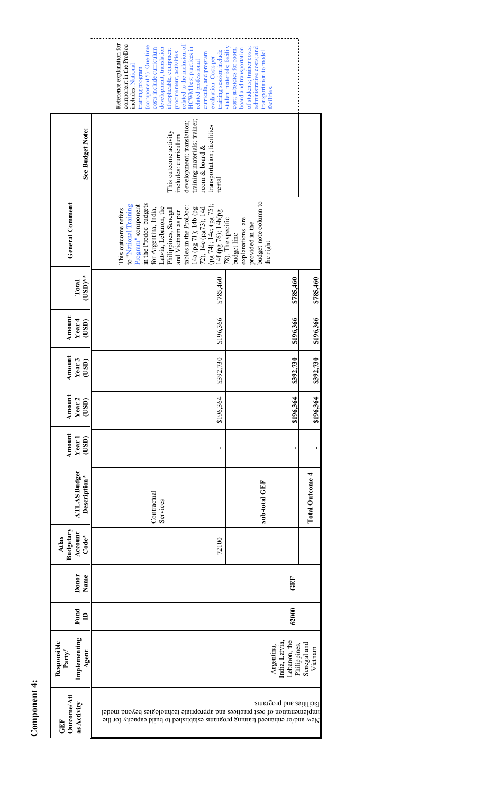Component 4: **Component 4:** 

|                                               | Reference explanation for<br>related to the inclusion of<br>component in the ProDoc<br>(component 5): One-time<br>HCWM best practices in<br>development, translation<br>costs include curriculum<br>if applicable, equipment<br>training session include<br>procurement, activities<br>curricula, and program<br>evaluation. Costs per<br>related professional<br>includes: National<br>training program | student materials; facility<br>of students; trainer costs;<br>administrative costs; and<br>board and transportation<br>cost; subsidies for room,<br>transportation to model<br>acilities |                                        |
|-----------------------------------------------|----------------------------------------------------------------------------------------------------------------------------------------------------------------------------------------------------------------------------------------------------------------------------------------------------------------------------------------------------------------------------------------------------------|------------------------------------------------------------------------------------------------------------------------------------------------------------------------------------------|----------------------------------------|
| See Budget Note:                              | training materials; trainer;<br>development; translation;<br>transportation; facilities<br>This outcome activity<br>includes: curriculum<br>room & board $&$<br>rental                                                                                                                                                                                                                                   |                                                                                                                                                                                          |                                        |
| <b>General Comment</b>                        | in the Prodoc budgets<br>to "National Training<br>Program" component<br>14a (pg 71); 14b (pg<br>72); 14c (pg73); 14d<br>(pg 74); 14e; (pg 75);<br>(pg 76); 14h(pg<br>tables in the ProDoc:<br>Latvia, Lebanon, the<br>for Argentina, India,<br>Philippines, Senegal<br>This outcome refers<br>and Vietnam as per                                                                                         | budget note column to<br>78). The specific<br>explanations are<br>provided in the<br>budget line<br>the right                                                                            |                                        |
| $\mathrm{USD}$ **<br>Total                    | \$785,460                                                                                                                                                                                                                                                                                                                                                                                                | \$785,460                                                                                                                                                                                | \$785,460                              |
| Amount<br>Year <sub>4</sub><br>(USD)          | \$196.366                                                                                                                                                                                                                                                                                                                                                                                                | \$196,366                                                                                                                                                                                | \$196,366                              |
| Amount<br>Year <sub>3</sub><br>(USD)          | \$392,730                                                                                                                                                                                                                                                                                                                                                                                                | \$392,730                                                                                                                                                                                | \$392,730                              |
| Amount<br>Year <sub>2</sub><br>(USD)          | \$196,364                                                                                                                                                                                                                                                                                                                                                                                                | \$196,364                                                                                                                                                                                | \$196,364                              |
| Amount<br>(USD)<br>Year <sub>1</sub>          | $\blacksquare$                                                                                                                                                                                                                                                                                                                                                                                           |                                                                                                                                                                                          |                                        |
| <b>ATLAS Budget</b><br>Description*           | Contractual<br>Services                                                                                                                                                                                                                                                                                                                                                                                  | sub-total GEF                                                                                                                                                                            | <b>Total Outcome 4</b>                 |
| Budgetary<br>Account<br>$Code*$<br>Atlas      | 72100                                                                                                                                                                                                                                                                                                                                                                                                    |                                                                                                                                                                                          |                                        |
| Donor<br>Name                                 |                                                                                                                                                                                                                                                                                                                                                                                                          | GEF                                                                                                                                                                                      |                                        |
| Fund<br>$\triangleq$                          |                                                                                                                                                                                                                                                                                                                                                                                                          | 62000                                                                                                                                                                                    |                                        |
| Implementing<br>Responsible<br>Agent<br>Party |                                                                                                                                                                                                                                                                                                                                                                                                          | Lebanon, the<br>India, Latvia,<br>Argentina,                                                                                                                                             | Senegal and<br>Philippines,<br>Vietnam |
| Outcome/Atl<br>as Activity<br>GEF             | implementation of best practices and appropriate technologies beyond model<br>New and/or enhanced training programs established to build capacity for the                                                                                                                                                                                                                                                | facilities and programs                                                                                                                                                                  |                                        |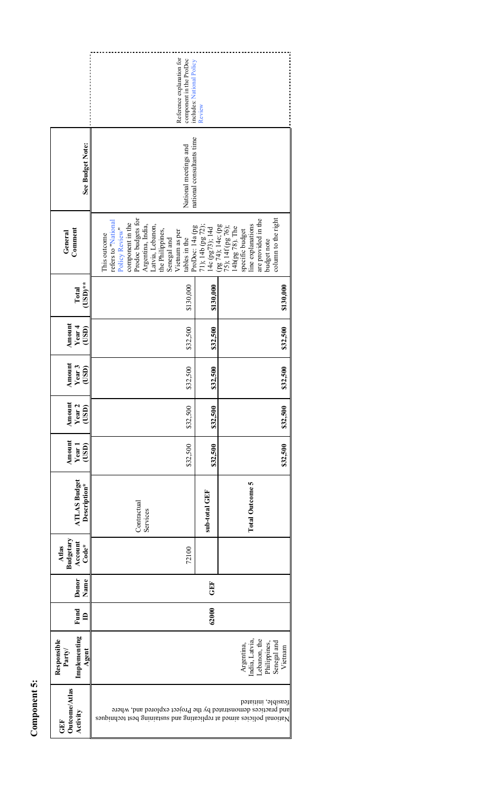|                                                          | Reference explanation for<br>component in the ProDoc<br>includes: National Policy                                                                                                                                                | Review            |                                                                                                                                                                                   |
|----------------------------------------------------------|----------------------------------------------------------------------------------------------------------------------------------------------------------------------------------------------------------------------------------|-------------------|-----------------------------------------------------------------------------------------------------------------------------------------------------------------------------------|
| See Budget Note:                                         | national consultants time<br>National meetings and                                                                                                                                                                               |                   |                                                                                                                                                                                   |
| Comment<br>General                                       | Prodoc budgets for<br>refers to "National<br>component in the<br>Argentina, India,<br>Latvia, Lebanon,<br>ProDoc: 14a (pg<br>Policy Review<br>the Philippines,<br>Vietnam as per<br>This outcome<br>tables in the<br>Senegal and | 71); 14b (pg 72); | column to the right<br>are provided in the<br>14c (pg73); 14d<br>(pg 74); 14e; (pg<br>75); 14f (pg 76);<br>14h(pg 78). The<br>specific budget<br>line explanations<br>budget note |
| $\mathrm{USD}$ **<br>Total                               | \$130,000                                                                                                                                                                                                                        | \$130,000         | \$130,000                                                                                                                                                                         |
| Amount<br>Year 4<br>(USD)                                | \$32,500                                                                                                                                                                                                                         | \$32,500          | \$32,500                                                                                                                                                                          |
| Amount<br>Year <sub>3</sub><br>(USD)                     | \$32,500                                                                                                                                                                                                                         | \$32,500          | \$32,500                                                                                                                                                                          |
| ă<br>Amou<br>Year<br>$\overline{\text{c}}$               | \$32,500                                                                                                                                                                                                                         | \$32,500          | \$32,500                                                                                                                                                                          |
| Amount<br>(USD)<br>Year <sub>1</sub>                     | \$32,500                                                                                                                                                                                                                         | \$32,500          | \$32,500                                                                                                                                                                          |
| <b>ATLAS Budget</b><br>Description*                      | Contractual<br>Services                                                                                                                                                                                                          | sub-total GEF     | <b>Total Outcome 5</b>                                                                                                                                                            |
| Budgetary<br>Account<br>$\mathbf{Code}^{\star}$<br>Atlas | 72100                                                                                                                                                                                                                            |                   |                                                                                                                                                                                   |
| Donor<br>Name                                            |                                                                                                                                                                                                                                  | <b>GEF</b>        |                                                                                                                                                                                   |
| Fund<br>$\triangleq$                                     |                                                                                                                                                                                                                                  | 62000             |                                                                                                                                                                                   |
| Implementing<br>Responsible<br>Party<br>Agent            |                                                                                                                                                                                                                                  |                   | Lebanon, the<br>India, Latvia,<br>Senegal and<br>Vietnam<br>Philippines,<br>Argentina,                                                                                            |
| Outcome/Atlas<br>Activity<br>GEF                         | and practices demonstrated by the Project explored and, where<br>National policies aimed at replicating and sustaining best techniques                                                                                           |                   | feasible, initiated                                                                                                                                                               |

........................

Component 5: **Component 5:**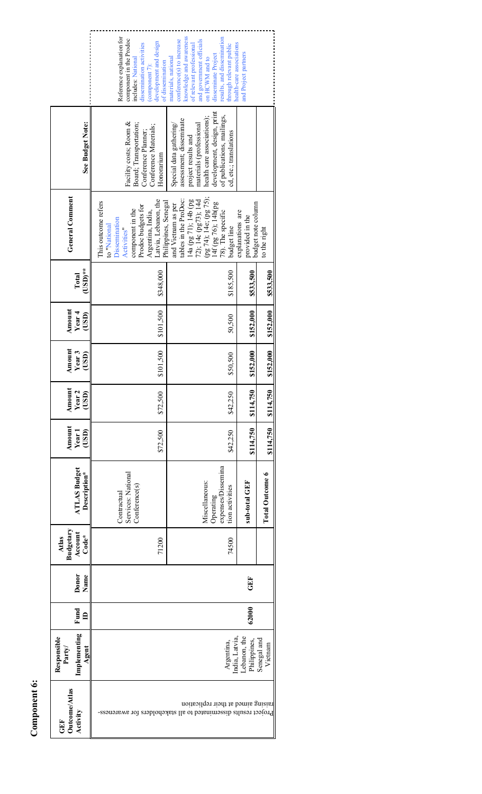Component 6: **Component 6:** 

|                                                 | Reference explanation for<br>component in the Prodoc<br>development and design<br>dissemination activities<br>includes: National<br>of dissemination<br>$\frac{1}{2}$ component $\frac{1}{2}$ ): | knowledge and awareness<br>results, and dissemination<br>conference(s) to increase<br>and government officials<br>of relevant professional<br>through relevant public<br>disseminate Project<br>materials, national<br>on HCWM and to | health-care associations<br>and Project partners                          |
|-------------------------------------------------|--------------------------------------------------------------------------------------------------------------------------------------------------------------------------------------------------|---------------------------------------------------------------------------------------------------------------------------------------------------------------------------------------------------------------------------------------|---------------------------------------------------------------------------|
| See Budget Note:                                | Facility costs; Room &<br>Board; Transportation;<br>Conference Materials;<br>Conference Planner;<br>Honorarium                                                                                   | development, design, print<br>of publications, mailings,<br>health care associations);<br>assessment; disseminate<br>Special data gathering/<br>materials (professional<br>cd, etc.; translations<br>project results and              |                                                                           |
| General Comment                                 | Latvia, Lebanon, the<br>This outcome refers<br>Prodoc budgets for<br>component in the<br>Argentina, India,<br>Dissemination<br>to "National<br><b>Activities</b>                                 | (pg 74); 14e; (pg 75);<br>tables in the ProDoc:<br>14a (pg 71); 14b (pg<br>72); 14c (pg73); 14d<br>Philippines, Senegal<br>14f (pg 76); 14h(pg<br>and Vietnam as per<br>78). The specific<br>budget line                              | budget note column<br>explanations are<br>provided in the<br>to the right |
| $\mathrm{USD}$ **<br>Total                      | \$348,000                                                                                                                                                                                        | \$185,500                                                                                                                                                                                                                             | \$533,500<br>\$533,500                                                    |
| Amount<br>Year 4<br>(USD)                       | \$101,500                                                                                                                                                                                        | 50,500                                                                                                                                                                                                                                | \$152,000<br>\$152,000                                                    |
| Amount<br>Year3<br>(USD)                        | \$101,500                                                                                                                                                                                        | \$50,500                                                                                                                                                                                                                              | \$152,000<br>\$152,000                                                    |
| Amount<br>Year <sub>2</sub><br>(USD)            | \$72,500                                                                                                                                                                                         | \$42,250                                                                                                                                                                                                                              | \$114,750<br>\$114,750                                                    |
| Amount<br>(USD)<br>Year <sup>1</sup>            | \$72,500                                                                                                                                                                                         | \$42,250                                                                                                                                                                                                                              | \$114,750<br>\$114,750                                                    |
| <b>ATLAS Budget</b><br>Description*             | Services: National<br>Conference(s)<br>Contractual                                                                                                                                               | expenses/Dissemina<br>Miscellaneous:<br>tion activities<br>Operating                                                                                                                                                                  | <b>Total Outcome 6</b><br>sub-total GEF                                   |
| Budgetary<br>Account<br>$Code*$<br>Atlas        | 71200                                                                                                                                                                                            | 74500                                                                                                                                                                                                                                 |                                                                           |
| Donor<br>Name                                   |                                                                                                                                                                                                  |                                                                                                                                                                                                                                       | GEF                                                                       |
| Fund<br>$\mathbf{a}$                            |                                                                                                                                                                                                  |                                                                                                                                                                                                                                       | 62000                                                                     |
| Implementing<br>Responsible<br>Party<br>Agent   |                                                                                                                                                                                                  | Argentina,                                                                                                                                                                                                                            | Lebanon, the<br>India, Latvia<br>Senegal and<br>Philippines,<br>Vietnam   |
| <b>Dutcome/Atlas</b><br><b>Activity</b><br>GEF. | Project results disseminated to all stakeholders for awareness-                                                                                                                                  | raising aimed at their replication                                                                                                                                                                                                    |                                                                           |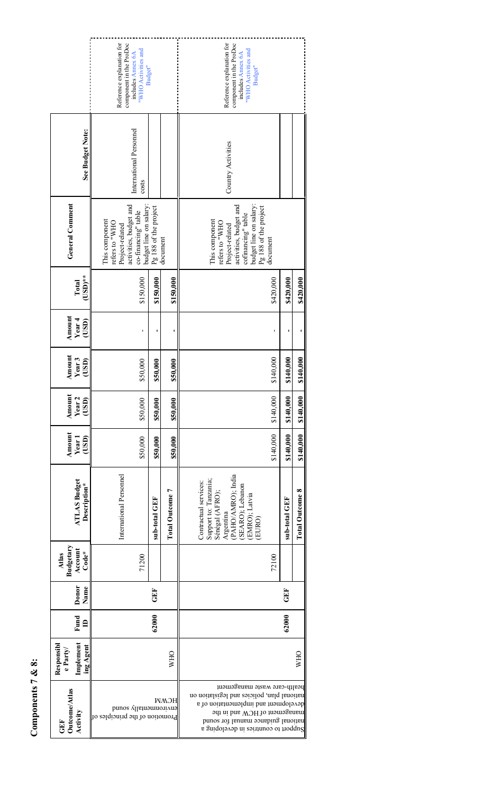|                                                  | Reference explanation for<br>component in the ProDoc<br>"WHO Activities and<br>includes Annex 6A     | Budget"                                         |                 | Reference explanation for<br>component in the ProDoc<br>"WHO Activities and<br>includes Annex 6A<br>Budget"                                                                                                                        |               |                        |
|--------------------------------------------------|------------------------------------------------------------------------------------------------------|-------------------------------------------------|-----------------|------------------------------------------------------------------------------------------------------------------------------------------------------------------------------------------------------------------------------------|---------------|------------------------|
| See Budget Note:                                 | International Personnel<br>costs                                                                     |                                                 |                 | Country Activities                                                                                                                                                                                                                 |               |                        |
| <b>General Comment</b>                           | activities, budget and<br>co-financing" table<br>This component<br>refers to "WHO<br>Project-related | budget line on salary:<br>Pg 188 of the project | document        | budget line on salary:<br>activities, budget and<br>Pg 188 of the project<br>cofinancing" table<br>This component<br>refers to "WHO<br>Project-related<br>document                                                                 |               |                        |
| $\mathrm{USD}$ **<br>Total                       | \$150,000                                                                                            | \$150,000                                       | \$150,000       | \$420,000                                                                                                                                                                                                                          | \$420,000     | \$420,000              |
| Amount<br>Year 4<br>(USD)                        | ı                                                                                                    |                                                 |                 |                                                                                                                                                                                                                                    |               |                        |
| Amount<br>Year3<br>(USD)                         | \$50,000                                                                                             | \$50,000                                        | \$50,000        | \$140,000                                                                                                                                                                                                                          | \$140,000     | \$140,000              |
| Amount<br>Year <sub>2</sub><br>(USD)             | \$50,000                                                                                             | \$50,000                                        | \$50,000        | \$140,000                                                                                                                                                                                                                          | \$140,000     | \$140,000              |
| Amount<br>Year <sub>1</sub><br>(USD)             | \$50,000                                                                                             | \$50,000                                        | \$50,000        | \$140,000                                                                                                                                                                                                                          | \$140,000     | \$140,000              |
| <b>ATLAS Budget</b><br>Description*              | International Personnel                                                                              | sub-total GEF                                   | Total Outcome 7 | Argentina<br>(PAHO/AMRO); India<br>Support to: Tanzania;<br>Contractual services:<br>(SEARO); Lebanon<br>Sénégal (AFRO);<br>(EMRO); Latvia<br>EURO)                                                                                | sub-total GEF | <b>Total Outcome 8</b> |
| Budgetary<br>Account<br>$Code*$<br>Atlas         | 71200                                                                                                |                                                 |                 | 72100                                                                                                                                                                                                                              |               |                        |
| Donor<br>Name                                    |                                                                                                      | GEF                                             |                 |                                                                                                                                                                                                                                    | GEF           |                        |
| Fund<br>$\triangleq$                             |                                                                                                      | 62000                                           |                 |                                                                                                                                                                                                                                    | 62000         |                        |
| Implement<br>Responsibl<br>ing Agent<br>e Party/ |                                                                                                      |                                                 | <b>WHO</b>      |                                                                                                                                                                                                                                    |               | <b>WHO</b>             |
| Outcome/Atlas<br>Activity<br>GEF                 | environmentally sound<br>Promotion of the principles of                                              |                                                 | HCMM            | health-care waste management<br>national plan, policies and legislation on<br>development and implementation of a<br>management of HCW and in the<br>national guidance manual for sound<br>Sunqoloveb in established a gredoping a |               |                        |

Components 7 & 8: **Components 7 & 8:**